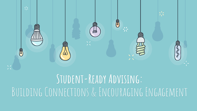

## **Student-Ready Advising:**  BUILDING CONNECTIONS & ENCOURAGING ENGAGEMENT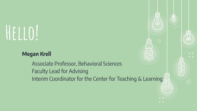# **Hello!**

#### **Megan Krell**

- ⊹ Associate Professor, Behavioral Sciences
- Faculty Lead for Advising
- Interim Coordinator for the Center for Teaching & Learning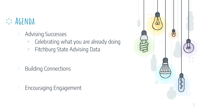### **Agenda**

- ⊹ Advising Successes
	- $\times$  Celebrating what you are already doing
	- $\times$  Fitchburg State Advising Data

⊹ Building Connections

⊹ Encouraging Engagement

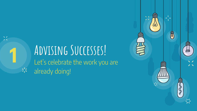#### **Advising Successes!** Let's celebrate the work you are  $\frac{1}{2}$ already doing!

**1**

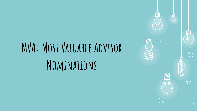## **MVA: Most Valuable Advisor Nominations**

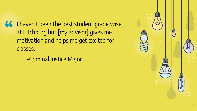**66** I haven't been the best student grade wise<br>
at Fitchburg but [my advisor] gives me at Fitchburg but [my advisor] gives me motivation and helps me get excited for classes.

–Criminal Justice Major

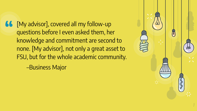**66** [My advisor], covered all my follow-up<br>questions before I even asked them, he questions before I even asked them, her knowledge and commitment are second to none. [My advisor], not only a great asset to FSU, but for the whole academic community.

–Business Major

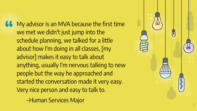**66** My advisor is an MVA because the first time<br>
we met we didn't just jump into the we met we didn't just jump into the schedule planning, we talked for a little about how I'm doing in all classes, [my advisor] makes it easy to talk about anything, usually I'm nervous talking to new people but the way he approached and started the conversation made it very easy. Very nice person and easy to talk to.

–Human Services Major

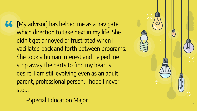**66** [My advisor] has helped me as a navigate<br>
which direction to take next in my life. She which direction to take next in my life. She didn't get annoyed or frustrated when I vacillated back and forth between programs. She took a human interest and helped me strip away the parts to find my heart's desire. I am still evolving even as an adult, parent, professional person. I hope I never stop.

–Special Education Major

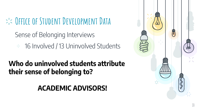**Office of Student Development Data**

Sense of Belonging Interviews ⊹ 16 Involved / 13 Uninvolved Students

#### **Who do uninvolved students attribute their sense of belonging to?**

**ACADEMIC ADVISORS!**

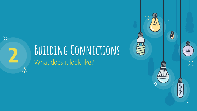# **BUILDING CONNECTIONS**

 $\frac{1}{2}$ 

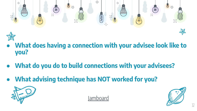

- **What does having a connection with your advisee look like to you?**
- **What do you do to build connections with your advisees?**
- **What advising technique has NOT worked for you?**





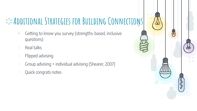## **ADDITIONAL STRATEGIES FOR BUILDING CONNECTIONS**

- ⊹ Getting to know you survey (strengths-based, inclusive questions)
- ⊹ Real talks
- ⊹ Flipped advising
- ⊹ Group advising + individual advising (Shearer, 2007)
- ⊹ Quick congrats notes

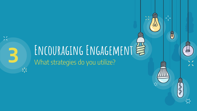# **ENCOURAGING ENGAGEMENT**

 $\frac{1}{2}$ 

 $\lfloor - \frac{1}{2} \rfloor$ 

同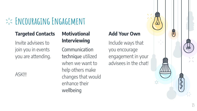## **Encouraging Engagement**

#### **Targeted Contacts**

Invite advisees to join you in events you are attending.

ASK!!!

#### **Motivational Interviewing**

Communication technique utilized when we want to help others make changes that would enhance their wellbeing

#### **Add Your Own**

Include ways that you encourage engagement in your advisees in the chat! 同

 $\geq$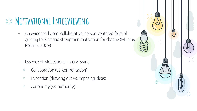## $\Rightarrow$ :< MOTIVATIONAL INTERVIEWING

- ⊹ An evidence-based, collaborative, person-centered form of guiding to elicit and strengthen motivation for change (Miller & Rollnick, 2009)
- ⊹ Essence of Motivational Interviewing:
	- $\times$  Collaboration (vs. confrontation)
	- $\times$  Evocation (drawing out vs. imposing ideas)
	- $\times$  Autonomy (vs. authority)

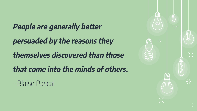**People are generally better persuaded by the reasons they themselves discovered than those that come into the minds of others.** 

- Blaise Pascal

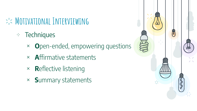## $\Rightarrow$ :< MOTIVATIONAL INTERVIEWING

- ⊹ Techniques
	- × **O**pen-ended, empowering questions
	- × **A**ffirmative statements
	- × **R**eflective listening
	- × **S**ummary statements

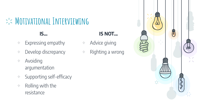## $\Rightarrow$ :< MOTIVATIONAL INTERVIEWING

#### **IS…**

- ⊹ Expressing empathy
- ⊹ Develop discrepancy
- ⊹ Avoiding argumentation
- ⊹ Supporting self-efficacy
- ⊹ Rolling with the resistance

#### **IS NOT...**

- ⊹ Advice giving
- Righting a wrong

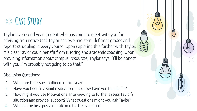### **Case Study**

Taylor is a second year student who has come to meet with you for advising. You notice that Taylor has two mid-term deficient grades and reports struggling in every course. Upon exploring this further with Taylor, it is clear Taylor could benefit from tutoring and academic coaching. Upon providing information about campus resources, Taylor says, "I'll be honest with you, I'm probably not going to do that."

#### Discussion Questions:

- 1. What are the issues outlined in this case?
- 2. Have you been in a similar situation; if so, how have you handled it?
- 3. How might you use Motivational Interviewing to further assess Taylor's situation and provide support? What questions might you ask Taylor?
- 4. What is the best possible outcome for this scenario?

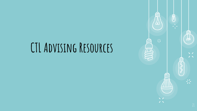## **CTL Advising Resources**

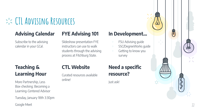## **CTL Advising Resources**

#### **Advising Calendar**

Subscribe to the advising calendar in your GCal.

#### **FYE Advising 101**

Slideshow presentation FYE instructors can use to walk students through the advising process at Fitchburg State.

#### **In Development…**

- ⊹ FSU Advising guide
- ⊹ SSC/DegreeWorks guide
- ⊹ Getting to know you survey

#### **Teaching & Learning Hour**

More Partnership, Less Box-checking: Becoming a Learning-Centered Advisor

Tuesday, January 18th 3:30pm

Google Meet

#### **CTL Website**

Curated resources available online!

#### **Need a specific resource?**

Just ask!

同

兴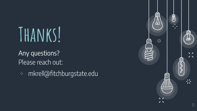## **Thanks!**

Any questions? Please reach out:

⊹ mkrell@fitchburgstate.edu

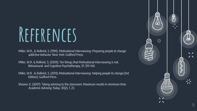## **References**

Miller, W.R., & Rollnick, S. (1991). Motivational Interviewing: Preparing people to change addictive behavior. New York: Guilford Press.

Miller, W.R. & Rollnick, S. (2009). Ten things that Motivational Interviewing is not. Behavioural and Cognitive Psychotherapy, 37, 129-140.

Miller, W.R. & Rollnick, S. (2013) Motivational Interviewing: Helping people to change (3rd Edition). Guilford Press.

Shearer, K. (2007). Taking advising to the classroom: Maximum results in minimum time. Academic Advising Today, 30(2), 7, 23.